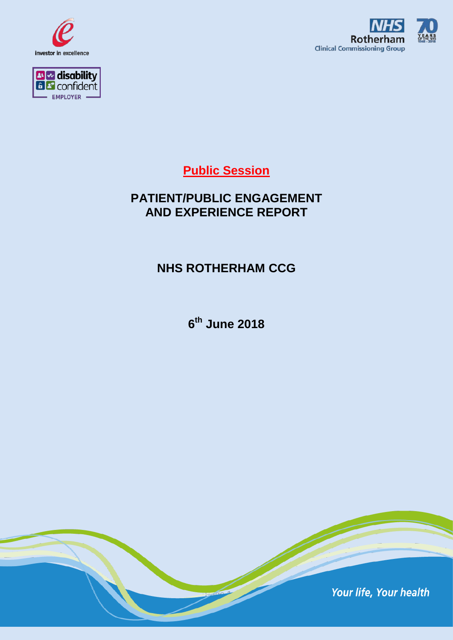





## **Public Session**

## **PATIENT/PUBLIC ENGAGEMENT AND EXPERIENCE REPORT**

### **NHS ROTHERHAM CCG**

**6th June 2018**

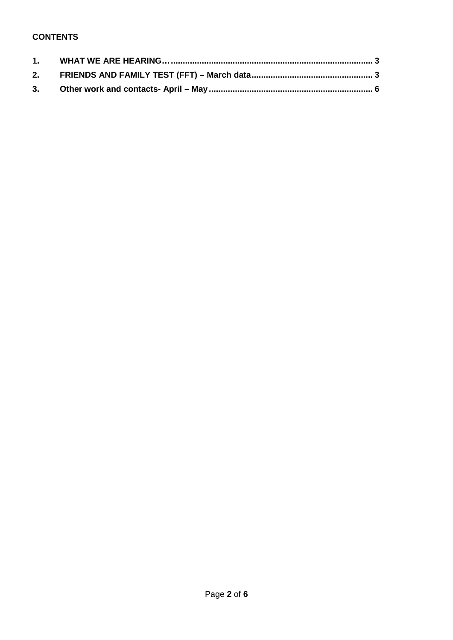#### **CONTENTS**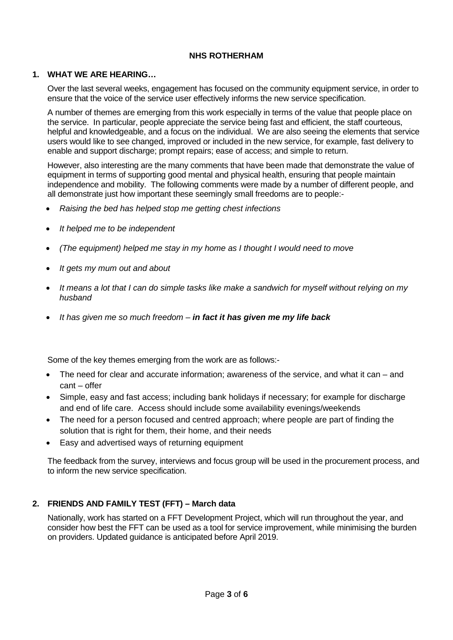#### **NHS ROTHERHAM**

#### <span id="page-2-0"></span>**1. WHAT WE ARE HEARING…**

Over the last several weeks, engagement has focused on the community equipment service, in order to ensure that the voice of the service user effectively informs the new service specification.

A number of themes are emerging from this work especially in terms of the value that people place on the service. In particular, people appreciate the service being fast and efficient, the staff courteous, helpful and knowledgeable, and a focus on the individual. We are also seeing the elements that service users would like to see changed, improved or included in the new service, for example, fast delivery to enable and support discharge; prompt repairs; ease of access; and simple to return.

However, also interesting are the many comments that have been made that demonstrate the value of equipment in terms of supporting good mental and physical health, ensuring that people maintain independence and mobility. The following comments were made by a number of different people, and all demonstrate just how important these seemingly small freedoms are to people:-

- *Raising the bed has helped stop me getting chest infections*
- *It helped me to be independent*
- *(The equipment) helped me stay in my home as I thought I would need to move*
- *It gets my mum out and about*
- *It means a lot that I can do simple tasks like make a sandwich for myself without relying on my husband*
- *It has given me so much freedom – in fact it has given me my life back*

Some of the key themes emerging from the work are as follows:-

- The need for clear and accurate information; awareness of the service, and what it can and cant – offer
- Simple, easy and fast access; including bank holidays if necessary; for example for discharge and end of life care. Access should include some availability evenings/weekends
- The need for a person focused and centred approach; where people are part of finding the solution that is right for them, their home, and their needs
- Easy and advertised ways of returning equipment

The feedback from the survey, interviews and focus group will be used in the procurement process, and to inform the new service specification.

#### <span id="page-2-1"></span>**2. FRIENDS AND FAMILY TEST (FFT) – March data**

Nationally, work has started on a FFT Development Project, which will run throughout the year, and consider how best the FFT can be used as a tool for service improvement, while minimising the burden on providers. Updated guidance is anticipated before April 2019.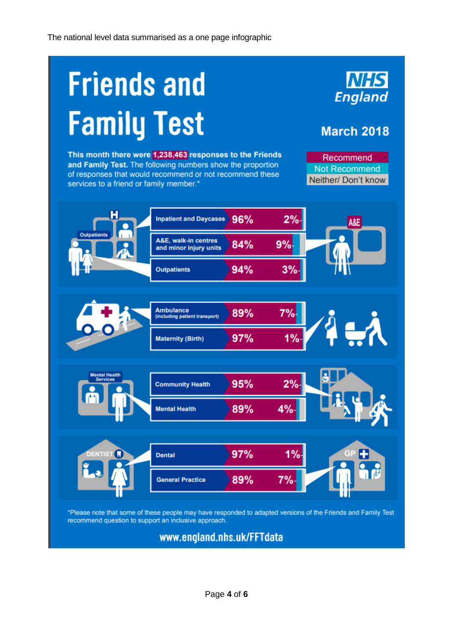# **Friends and Family Test**

This month there were 1,238,463 responses to the Friends and Family Test. The following numbers show the proportion of responses that would recommend or not recommend these services to a friend or family member.\*

Recommend Not Recommend Neither/ Don't know

**NHS** 

**England** 

**March 2018** 



www.england.nhs.uk/FFTdata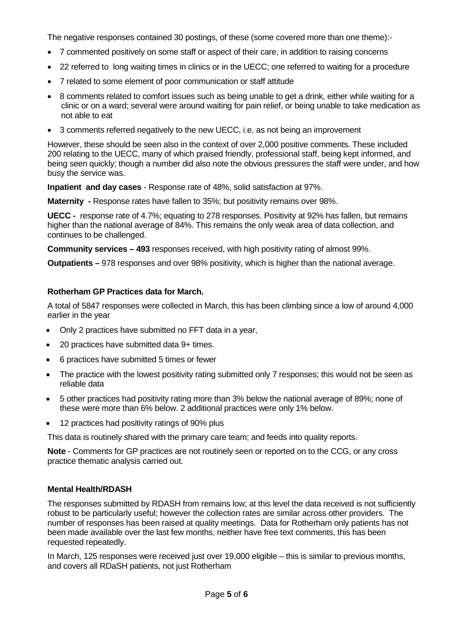The negative responses contained 30 postings, of these (some covered more than one theme):-

- 7 commented positively on some staff or aspect of their care, in addition to raising concerns
- 22 referred to long waiting times in clinics or in the UECC; one referred to waiting for a procedure
- 7 related to some element of poor communication or staff attitude
- 8 comments related to comfort issues such as being unable to get a drink, either while waiting for a clinic or on a ward; several were around waiting for pain relief, or being unable to take medication as not able to eat
- 3 comments referred negatively to the new UECC, i.e. as not being an improvement

However, these should be seen also in the context of over 2,000 positive comments. These included 200 relating to the UECC, many of which praised friendly, professional staff, being kept informed, and being seen quickly; though a number did also note the obvious pressures the staff were under, and how busy the service was.

**Inpatient and day cases** - Response rate of 48%, solid satisfaction at 97%.

**Maternity -** Response rates have fallen to 35%; but positivity remains over 98%.

**UECC -** response rate of 4.7%; equating to 278 responses. Positivity at 92% has fallen, but remains higher than the national average of 84%. This remains the only weak area of data collection, and continues to be challenged.

**Community services – 493** responses received, with high positivity rating of almost 99%.

**Outpatients –** 978 responses and over 98% positivity, which is higher than the national average.

#### **Rotherham GP Practices data for March.**

A total of 5847 responses were collected in March, this has been climbing since a low of around 4,000 earlier in the year

- Only 2 practices have submitted no FFT data in a year,
- 20 practices have submitted data 9+ times.
- 6 practices have submitted 5 times or fewer
- The practice with the lowest positivity rating submitted only 7 responses; this would not be seen as reliable data
- 5 other practices had positivity rating more than 3% below the national average of 89%; none of these were more than 6% below. 2 additional practices were only 1% below.
- 12 practices had positivity ratings of 90% plus

This data is routinely shared with the primary care team; and feeds into quality reports.

**Note** - Comments for GP practices are not routinely seen or reported on to the CCG, or any cross practice thematic analysis carried out.

#### **Mental Health/RDASH**

The responses submitted by RDASH from remains low; at this level the data received is not sufficiently robust to be particularly useful; however the collection rates are similar across other providers. The number of responses has been raised at quality meetings. Data for Rotherham only patients has not been made available over the last few months, neither have free text comments, this has been requested repeatedly.

In March, 125 responses were received just over 19,000 eligible – this is similar to previous months, and covers all RDaSH patients, not just Rotherham